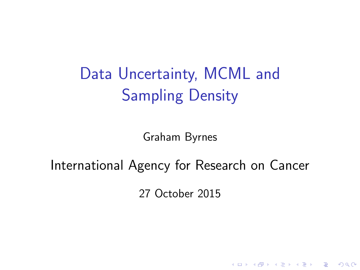Data Uncertainty, MCML and Sampling Density

Graham Byrnes

#### International Agency for Research on Cancer

27 October 2015

K ロ ▶ K @ ▶ K 할 > K 할 > 1 할 > 1 이익어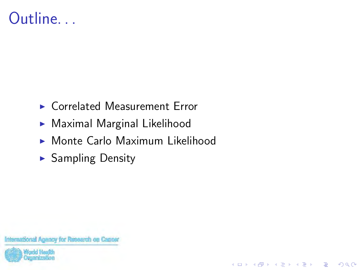#### Outline. . .

- $\triangleright$  Correlated Measurement Error
- $\blacktriangleright$  Maximal Marginal Likelihood
- $\triangleright$  Monte Carlo Maximum Likelihood

K ロ ▶ K @ ▶ K 할 ▶ K 할 ▶ 이 할 → 9 Q @

 $\blacktriangleright$  Sampling Density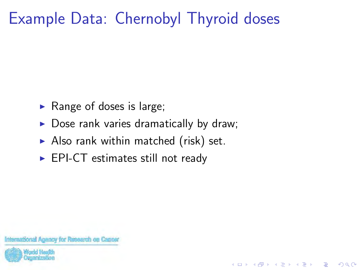# Example Data: Chernobyl Thyroid doses

- $\blacktriangleright$  Range of doses is large;
- $\triangleright$  Dose rank varies dramatically by draw;

**KORKA SERKER ORA** 

- $\blacktriangleright$  Also rank within matched (risk) set.
- $\blacktriangleright$  EPI-CT estimates still not ready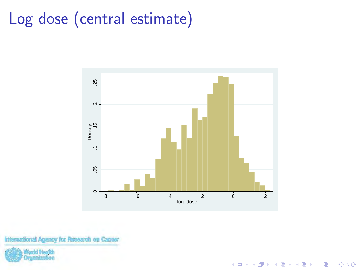# Log dose (central estimate)



K ロ > K @ > K 할 > K 할 > 1 할 : ⊙ Q Q^

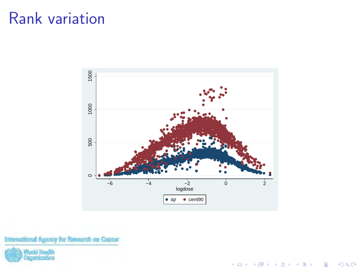#### Rank variation



K ロ X イロ X K ミ X K ミ X ミ → S V Q Q Q

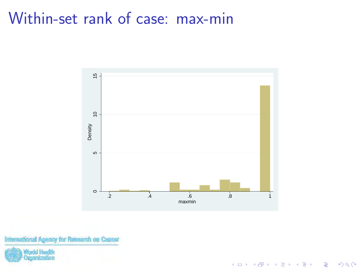#### Within-set rank of case: max-min



イロト イ母 トイミト イミト ニヨー りんぴ

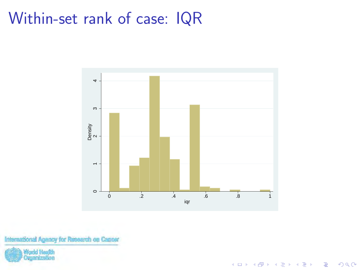#### Within-set rank of case: IQR



K ロ > K @ > K 할 > K 할 > 1 할 : ⊙ Q Q^

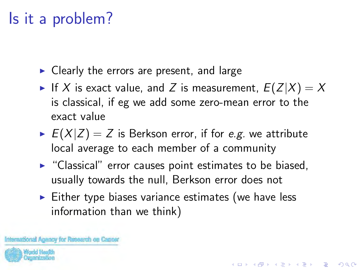## Is it a problem?

- $\triangleright$  Clearly the errors are present, and large
- If X is exact value, and Z is measurement,  $E(Z|X) = X$ is classical, if eg we add some zero-mean error to the exact value
- $E(X|Z) = Z$  is Berkson error, if for e.g. we attribute local average to each member of a community
- $\blacktriangleright$  "Classical" error causes point estimates to be biased, usually towards the null, Berkson error does not
- $\triangleright$  Either type biases variance estimates (we have less information than we think)

4 D > 4 P + 4 B + 4 B + B + 9 Q O

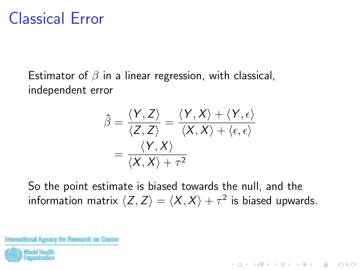#### Classical Error

Estimator of  $\beta$  in a linear regression, with classical, independent error

$$
\hat{\beta} = \frac{\langle Y, Z \rangle}{\langle Z, Z \rangle} = \frac{\langle Y, X \rangle + \langle Y, \epsilon \rangle}{\langle X, X \rangle + \langle \epsilon, \epsilon \rangle}
$$

$$
= \frac{\langle Y, X \rangle}{\langle X, X \rangle + \tau^2}
$$

So the point estimate is biased towards the null, and the information matrix  $\langle Z, Z\rangle = \langle X, X\rangle + \tau^2$  is biased upwards.

**KORKA SERKER ORA**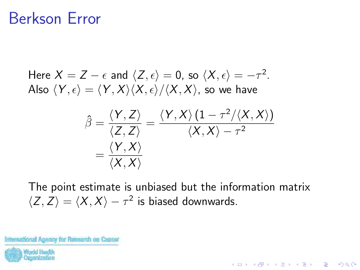#### Berkson Error

Here 
$$
X = Z - \epsilon
$$
 and  $\langle Z, \epsilon \rangle = 0$ , so  $\langle X, \epsilon \rangle = -\tau^2$ .  
Also  $\langle Y, \epsilon \rangle = \langle Y, X \rangle \langle X, \epsilon \rangle / \langle X, X \rangle$ , so we have

$$
\hat{\beta} = \frac{\langle Y, Z \rangle}{\langle Z, Z \rangle} = \frac{\langle Y, X \rangle (1 - \tau^2 / \langle X, X \rangle)}{\langle X, X \rangle - \tau^2}
$$

$$
= \frac{\langle Y, X \rangle}{\langle X, X \rangle}
$$

The point estimate is unbiased but the information matrix  $\langle Z, Z \rangle = \langle X, X \rangle - \tau^2$  is biased downwards.

**K ロ ▶ K @ ▶ K 할 X X 할 X 및 할 X X Q Q O**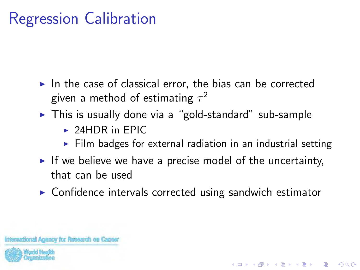# Regression Calibration

- $\triangleright$  In the case of classical error, the bias can be corrected given a method of estimating  $\tau^2$
- $\triangleright$  This is usually done via a "gold-standard" sub-sample
	- $\triangleright$  24HDR in EPIC
	- $\triangleright$  Film badges for external radiation in an industrial setting

**KORK ERKER ADE YOUR** 

- If we believe we have a precise model of the uncertainty, that can be used
- $\triangleright$  Confidence intervals corrected using sandwich estimator

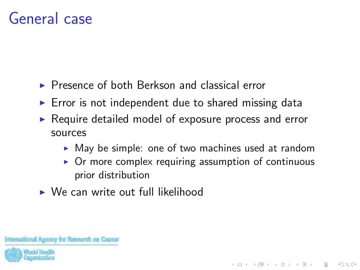#### General case

- $\triangleright$  Presence of both Berkson and classical error
- $\triangleright$  Error is not independent due to shared missing data
- $\triangleright$  Require detailed model of exposure process and error sources
	- $\triangleright$  May be simple: one of two machines used at random
	- $\triangleright$  Or more complex requiring assumption of continuous prior distribution

**KORK ERKER ADE YOUR** 

 $\triangleright$  We can write out full likelihood

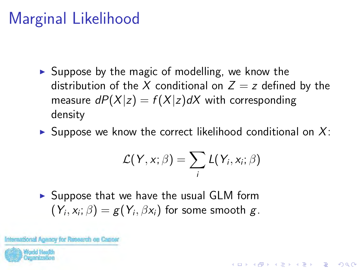# Marginal Likelihood

- $\triangleright$  Suppose by the magic of modelling, we know the distribution of the X conditional on  $Z = z$  defined by the measure  $dP(X|z) = f(X|z)dX$  with corresponding density
- $\triangleright$  Suppose we know the correct likelihood conditional on X:

$$
\mathcal{L}(Y, x; \beta) = \sum_i L(Y_i, x_i; \beta)
$$

**KORK ERKER ADE YOUR** 

 $\triangleright$  Suppose that we have the usual GLM form  $\left(Y_{i},x_{i}; \beta\right)=g(Y_{i},\beta x_{i})$  for some smooth  $g$ .

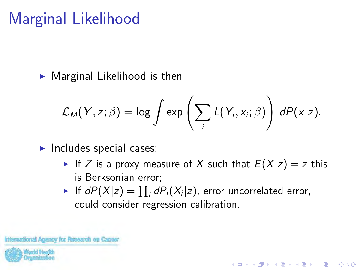# Marginal Likelihood

 $\blacktriangleright$  Marginal Likelihood is then

$$
\mathcal{L}_M(Y,z;\beta) = \log \int \exp \left( \sum_i L(Y_i,x_i;\beta) \right) dP(x|z).
$$

- $\blacktriangleright$  Includes special cases:
	- If Z is a proxy measure of X such that  $E(X|z) = z$  this is Berksonian error;

**KORK ERKER ADE YOUR** 

 $\blacktriangleright$  If  $dP(X|z) = \prod_i dP_i(X_i|z)$ , error uncorrelated error, could consider regression calibration.

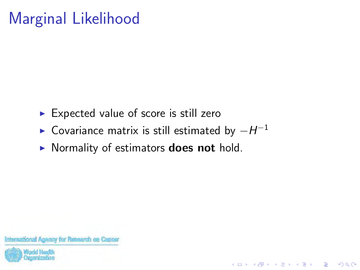# Marginal Likelihood

- $\triangleright$  Expected value of score is still zero
- ► Covariance matrix is still estimated by  $-H^{-1}$

**KORK ERKER ADE YOUR** 

**In Normality of estimators does not hold.** 

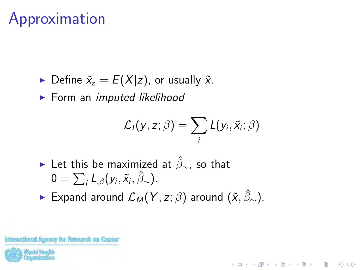- $\triangleright$  Define  $\tilde{x}_z = E(X|z)$ , or usually  $\tilde{x}$ .
- $\blacktriangleright$  Form an imputed likelihood

$$
\mathcal{L}_I(y,z;\beta)=\sum_i L(y_i,\tilde{x}_i;\beta)
$$

**KORKARYKERKE POLO** 

- ► Let this be maximized at  $\hat{\beta}_{\sim}$ , so that  $0 = \sum_i L_{,\beta}(y_i, \tilde{x}_i, \hat{\beta}_{\sim}).$
- ► Expand around  $\mathcal{L}_M(Y, z; \beta)$  around  $(\tilde{x}, \hat{\beta}_\sim)$ .

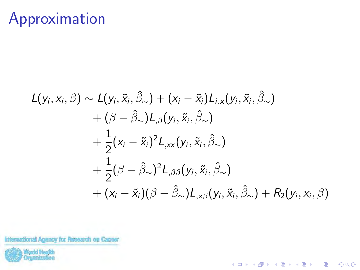$$
L(y_i, x_i, \beta) \sim L(y_i, \tilde{x}_i, \hat{\beta}_{\sim}) + (x_i - \tilde{x}_i)L_{i,x}(y_i, \tilde{x}_i, \hat{\beta}_{\sim}) + (\beta - \hat{\beta}_{\sim})L_{,\beta}(y_i, \tilde{x}_i, \hat{\beta}_{\sim}) + \frac{1}{2}(x_i - \tilde{x}_i)^2L_{,xx}(y_i, \tilde{x}_i, \hat{\beta}_{\sim}) + \frac{1}{2}(\beta - \hat{\beta}_{\sim})^2L_{,\beta\beta}(y_i, \tilde{x}_i, \hat{\beta}_{\sim}) + (x_i - \tilde{x}_i)(\beta - \hat{\beta}_{\sim})L_{,x\beta}(y_i, \tilde{x}_i, \hat{\beta}_{\sim}) + R_2(y_i, x_i, \beta)
$$

K ロ ▶ K @ ▶ K 할 ▶ K 할 ▶ | 할 | © 9 Q @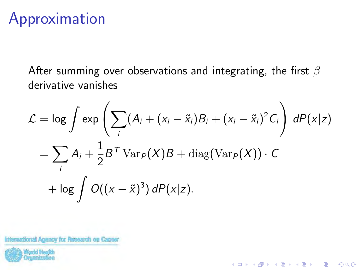After summing over observations and integrating, the first  $\beta$ derivative vanishes

$$
\mathcal{L} = \log \int \exp \left( \sum_{i} (A_i + (x_i - \tilde{x}_i) B_i + (x_i - \tilde{x}_i)^2 C_i \right) dP(x|z)
$$
  
= 
$$
\sum_{i} A_i + \frac{1}{2} B^T \operatorname{Var}_P(X) B + \operatorname{diag}(\operatorname{Var}_P(X)) \cdot C
$$
  
+ 
$$
\log \int O((x - \tilde{x})^3) dP(x|z).
$$

K ロ ▶ K @ ▶ K 할 > K 할 > 1 할 > 1 이익어

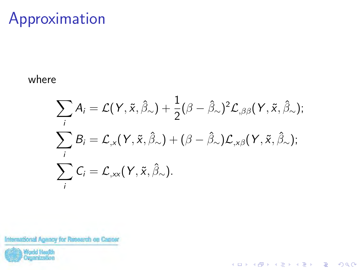#### where

$$
\sum_{i} A_{i} = \mathcal{L}(Y, \tilde{x}, \hat{\beta}_{\sim}) + \frac{1}{2} (\beta - \hat{\beta}_{\sim})^{2} \mathcal{L}_{,\beta\beta}(Y, \tilde{x}, \hat{\beta}_{\sim});
$$
  

$$
\sum_{i} B_{i} = \mathcal{L}_{,x}(Y, \tilde{x}, \hat{\beta}_{\sim}) + (\beta - \hat{\beta}_{\sim}) \mathcal{L}_{,x\beta}(Y, \tilde{x}, \hat{\beta}_{\sim});
$$
  

$$
\sum_{i} C_{i} = \mathcal{L}_{,xx}(Y, \tilde{x}, \hat{\beta}_{\sim}).
$$

K ロ ▶ K @ ▶ K 할 ▶ K 할 ▶ | 할 | © 9 Q @

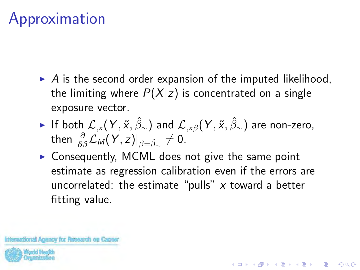- $\triangleright$  A is the second order expansion of the imputed likelihood, the limiting where  $P(X|z)$  is concentrated on a single exposure vector.
- ► If both  $\mathcal{L}_x(Y, \tilde{x}, \hat{\beta}_\sim)$  and  $\mathcal{L}_{x\beta}(Y, \tilde{x}, \hat{\beta}_\sim)$  are non-zero, then  $\frac{\partial}{\partial\beta}\mathcal{L}_{\mathcal{M}}(\mathsf{Y},z)\vert_{\beta=\hat{\beta}_{\infty}}\neq0$ .
- $\triangleright$  Consequently, MCML does not give the same point estimate as regression calibration even if the errors are uncorrelated: the estimate "pulls"  $x$  toward a better fitting value.

**KORKAR KERKER EL VOLO** 

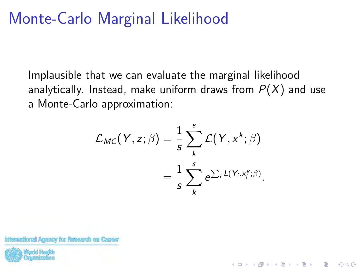#### Monte-Carlo Marginal Likelihood

Implausible that we can evaluate the marginal likelihood analytically. Instead, make uniform draws from  $P(X)$  and use a Monte-Carlo approximation:

$$
\mathcal{L}_{MC}(Y, z; \beta) = \frac{1}{s} \sum_{k}^{s} \mathcal{L}(Y, x^{k}; \beta)
$$

$$
= \frac{1}{s} \sum_{k}^{s} e^{\sum_{i} L(Y_{i}, x_{i}^{k}; \beta)}.
$$

**KORK ERKER ADE YOUR** 

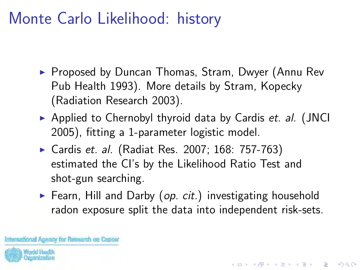## Monte Carlo Likelihood: history

- ▶ Proposed by Duncan Thomas, Stram, Dwyer (Annu Rev Pub Health 1993). More details by Stram, Kopecky (Radiation Research 2003).
- Applied to Chernobyl thyroid data by Cardis et. al. (JNCI 2005), fitting a 1-parameter logistic model.
- ▶ Cardis et. al. (Radiat Res. 2007; 168: 757-763) estimated the CI's by the Likelihood Ratio Test and shot-gun searching.
- Fearn, Hill and Darby (op. cit.) investigating household radon exposure split the data into independent risk-sets.

**K ロ ▶ K @ ▶ K 할 X X 할 X 및 할 X X Q Q O** 

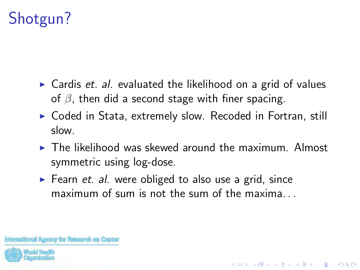# Shotgun?

- $\triangleright$  Cardis *et. al.* evaluated the likelihood on a grid of values of  $\beta$ , then did a second stage with finer spacing.
- $\triangleright$  Coded in Stata, extremely slow. Recoded in Fortran, still slow.
- $\triangleright$  The likelihood was skewed around the maximum. Almost symmetric using log-dose.

**KORK ERKER ADE YOUR** 

 $\blacktriangleright$  Fearn *et. al.* were obliged to also use a grid, since maximum of sum is not the sum of the maxima...

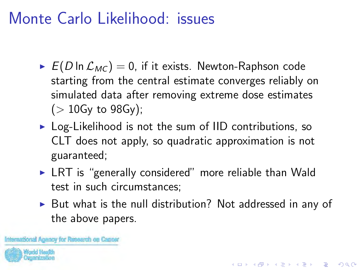#### Monte Carlo Likelihood: issues

- $E(D \ln \mathcal{L}_{MC}) = 0$ , if it exists. Newton-Raphson code starting from the central estimate converges reliably on simulated data after removing extreme dose estimates  $($  > 10Gy to 98Gy);
- $\triangleright$  Log-Likelihood is not the sum of IID contributions, so CLT does not apply, so quadratic approximation is not guaranteed;
- $\triangleright$  LRT is "generally considered" more reliable than Wald test in such circumstances;
- $\triangleright$  But what is the null distribution? Not addressed in any of the above papers.

**KORKAR KERKER EL VOLO** 

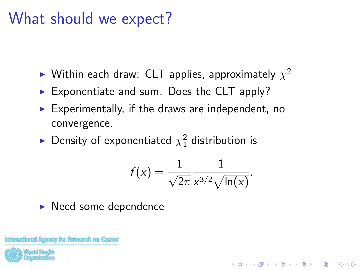### What should we expect?

- $\blacktriangleright$  Within each draw: CLT applies, approximately  $\chi^2$
- $\triangleright$  Exponentiate and sum. Does the CLT apply?
- $\blacktriangleright$  Experimentally, if the draws are independent, no convergence.
- $\blacktriangleright$  Density of exponentiated  $\chi_1^2$  distribution is

$$
f(x)=\frac{1}{\sqrt{2\pi}}\frac{1}{x^{3/2}\sqrt{\ln(x)}}.
$$

**KORK ERKER ADE YOUR** 

 $\blacktriangleright$  Need some dependence

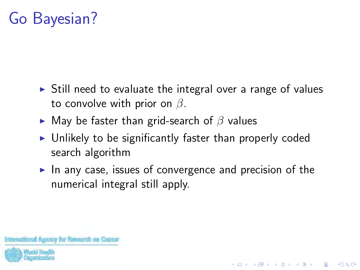## Go Bayesian?

- $\triangleright$  Still need to evaluate the integral over a range of values to convolve with prior on  $\beta$ .
- $\blacktriangleright$  May be faster than grid-search of  $\beta$  values
- $\triangleright$  Unlikely to be significantly faster than properly coded search algorithm
- In any case, issues of convergence and precision of the numerical integral still apply.

**KORK ERKER ADE YOUR**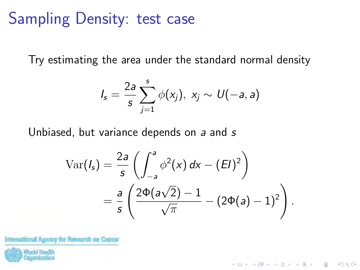#### Sampling Density: test case

Try estimating the area under the standard normal density

$$
I_s=\frac{2a}{s}\sum_{j=1}^s\phi(x_j),\;x_j\sim U(-a,a)
$$

Unbiased, but variance depends on a and s

$$
\operatorname{Var}(I_s) = \frac{2a}{s} \left( \int_{-a}^{a} \phi^2(x) dx - (EI)^2 \right)
$$
  
= 
$$
\frac{a}{s} \left( \frac{2\Phi(a\sqrt{2}) - 1}{\sqrt{\pi}} - (2\Phi(a) - 1)^2 \right).
$$

**KORK ERKER ADE YOUR** 

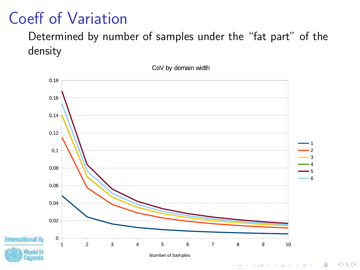#### Coeff of Variation

#### Determined by number of samples under the "fat part" of the density

CoV by domain width



 $\equiv$  990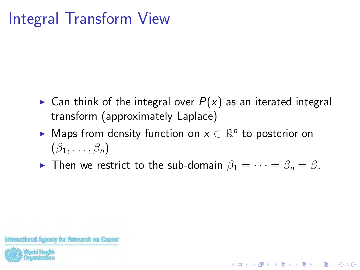# Integral Transform View

- **Can think of the integral over**  $P(x)$  **as an iterated integral** transform (approximately Laplace)
- ► Maps from density function on  $x \in \mathbb{R}^n$  to posterior on  $(\beta_1, \ldots, \beta_n)$
- **Figure 1** Then we restrict to the sub-domain  $\beta_1 = \cdots = \beta_n = \beta$ .

**KORK ERKER ADE YOUR**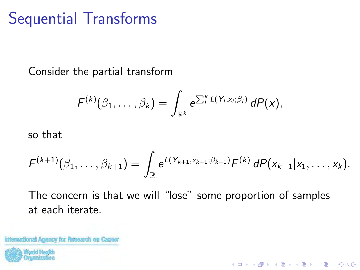# Sequential Transforms

Consider the partial transform

$$
F^{(k)}(\beta_1,\ldots,\beta_k)=\int_{\mathbb{R}^k}e^{\sum_i^kL(Y_i,x_i;\beta_i)}\,dP(x),
$$

so that

$$
F^{(k+1)}(\beta_1,\ldots,\beta_{k+1})=\int_{\mathbb{R}}e^{L(Y_{k+1},X_{k+1};\beta_{k+1})}F^{(k)}\,dP(x_{k+1}|x_1,\ldots,x_k).
$$

K ロ ▶ K @ ▶ K 할 ▶ K 할 ▶ 이 할 → 9 Q @

The concern is that we will "lose" some proportion of samples at each iterate.

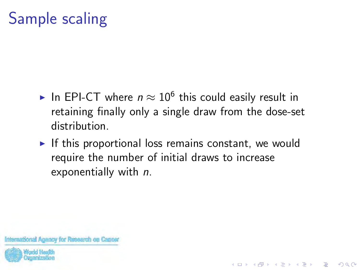# Sample scaling

- ► In EPI-CT where  $n \approx 10^6$  this could easily result in retaining finally only a single draw from the dose-set distribution.
- $\triangleright$  If this proportional loss remains constant, we would require the number of initial draws to increase exponentially with n.

**KORK ERKER ADE YOUR** 

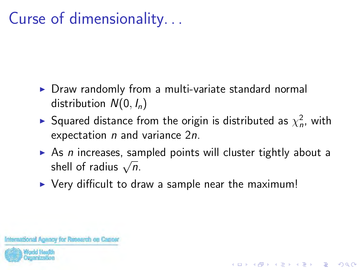# Curse of dimensionality. . .

- $\triangleright$  Draw randomly from a multi-variate standard normal distribution  $N(0, I_n)$
- $\blacktriangleright$  Squared distance from the origin is distributed as  $\chi^2_n$ , with expectation  $n$  and variance  $2n$ .
- $\triangleright$  As n increases, sampled points will cluster tightly about a As *n* increases, sar<br>shell of radius  $\sqrt{n}$ .

**KORKA SERKER ORA** 

 $\triangleright$  Very difficult to draw a sample near the maximum!

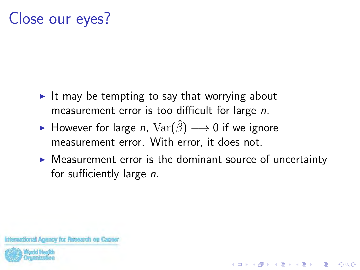# Close our eyes?

- It may be tempting to say that worrying about measurement error is too difficult for large n.
- ► However for large *n*,  $\text{Var}(\hat{\beta}) \longrightarrow 0$  if we ignore measurement error. With error, it does not.
- $\triangleright$  Measurement error is the dominant source of uncertainty for sufficiently large n.

**KORKA SERKER ORA**